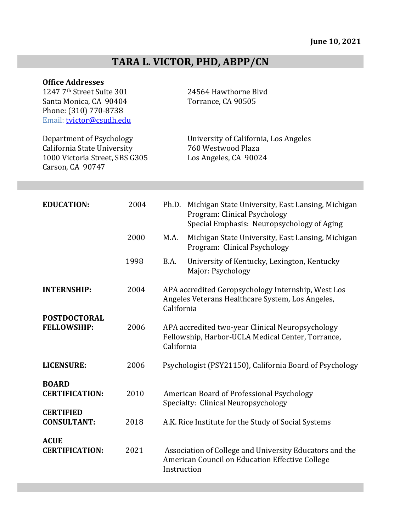# TARA L. VICTOR, PHD, ABPP/CN

| <b>Office Addresses</b><br>1247 7th Street Suite 301<br>Santa Monica, CA 90404<br>Phone: (310) 770-8738<br>Email: tvictor@csudh.edu |      |             | 24564 Hawthorne Blvd<br>Torrance, CA 90505                                                                                      |
|-------------------------------------------------------------------------------------------------------------------------------------|------|-------------|---------------------------------------------------------------------------------------------------------------------------------|
| Department of Psychology<br>California State University<br>1000 Victoria Street, SBS G305<br>Carson, CA 90747                       |      |             | University of California, Los Angeles<br>760 Westwood Plaza<br>Los Angeles, CA 90024                                            |
|                                                                                                                                     |      |             |                                                                                                                                 |
| <b>EDUCATION:</b>                                                                                                                   | 2004 | Ph.D.       | Michigan State University, East Lansing, Michigan<br>Program: Clinical Psychology<br>Special Emphasis: Neuropsychology of Aging |
|                                                                                                                                     | 2000 | M.A.        | Michigan State University, East Lansing, Michigan<br>Program: Clinical Psychology                                               |
|                                                                                                                                     | 1998 | B.A.        | University of Kentucky, Lexington, Kentucky<br>Major: Psychology                                                                |
| <b>INTERNSHIP:</b>                                                                                                                  | 2004 | California  | APA accredited Geropsychology Internship, West Los<br>Angeles Veterans Healthcare System, Los Angeles,                          |
| <b>POSTDOCTORAL</b><br><b>FELLOWSHIP:</b>                                                                                           | 2006 | California  | APA accredited two-year Clinical Neuropsychology<br>Fellowship, Harbor-UCLA Medical Center, Torrance,                           |
| <b>LICENSURE:</b>                                                                                                                   | 2006 |             | Psychologist (PSY21150), California Board of Psychology                                                                         |
| <b>BOARD</b><br><b>CERTIFICATION:</b>                                                                                               | 2010 |             | American Board of Professional Psychology<br>Specialty: Clinical Neuropsychology                                                |
| <b>CERTIFIED</b><br><b>CONSULTANT:</b>                                                                                              | 2018 |             | A.K. Rice Institute for the Study of Social Systems                                                                             |
| <b>ACUE</b><br><b>CERTIFICATION:</b>                                                                                                | 2021 | Instruction | Association of College and University Educators and the<br>American Council on Education Effective College                      |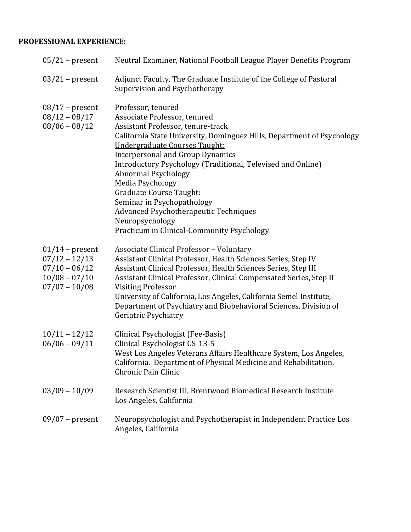# **PROFESSIONAL EXPERIENCE:**

| $05/21$ – present                                                                             | Neutral Examiner, National Football League Player Benefits Program                                                                                                                                                                                                                                                                                                                                                                                                                                                                       |
|-----------------------------------------------------------------------------------------------|------------------------------------------------------------------------------------------------------------------------------------------------------------------------------------------------------------------------------------------------------------------------------------------------------------------------------------------------------------------------------------------------------------------------------------------------------------------------------------------------------------------------------------------|
| $03/21$ – present                                                                             | Adjunct Faculty, The Graduate Institute of the College of Pastoral<br>Supervision and Psychotherapy                                                                                                                                                                                                                                                                                                                                                                                                                                      |
| $08/17$ – present<br>$08/12 - 08/17$<br>$08/06 - 08/12$                                       | Professor, tenured<br>Associate Professor, tenured<br>Assistant Professor, tenure-track<br>California State University, Dominguez Hills, Department of Psychology<br>Undergraduate Courses Taught:<br><b>Interpersonal and Group Dynamics</b><br>Introductory Psychology (Traditional, Televised and Online)<br><b>Abnormal Psychology</b><br>Media Psychology<br><b>Graduate Course Taught:</b><br>Seminar in Psychopathology<br>Advanced Psychotherapeutic Techniques<br>Neuropsychology<br>Practicum in Clinical-Community Psychology |
| $01/14$ – present<br>$07/12 - 12/13$<br>$07/10 - 06/12$<br>$10/08 - 07/10$<br>$07/07 - 10/08$ | Associate Clinical Professor - Voluntary<br>Assistant Clinical Professor, Health Sciences Series, Step IV<br>Assistant Clinical Professor, Health Sciences Series, Step III<br>Assistant Clinical Professor, Clinical Compensated Series, Step II<br><b>Visiting Professor</b><br>University of California, Los Angeles, California Semel Institute,<br>Department of Psychiatry and Biobehavioral Sciences, Division of<br>Geriatric Psychiatry                                                                                         |
| $10/11 - 12/12$<br>$06/06 - 09/11$                                                            | Clinical Psychologist (Fee-Basis)<br>Clinical Psychologist GS-13-5<br>West Los Angeles Veterans Affairs Healthcare System, Los Angeles,<br>California. Department of Physical Medicine and Rehabilitation,<br>Chronic Pain Clinic                                                                                                                                                                                                                                                                                                        |
| $03/09 - 10/09$                                                                               | Research Scientist III, Brentwood Biomedical Research Institute<br>Los Angeles, California                                                                                                                                                                                                                                                                                                                                                                                                                                               |
| $09/07$ – present                                                                             | Neuropsychologist and Psychotherapist in Independent Practice Los<br>Angeles, California                                                                                                                                                                                                                                                                                                                                                                                                                                                 |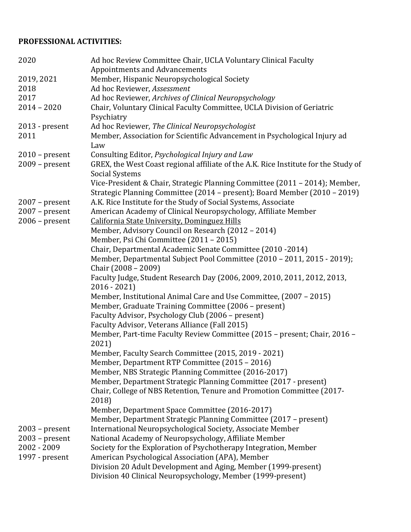# **PROFESSIONAL ACTIVITIES:**

| 2020                     | Ad hoc Review Committee Chair, UCLA Voluntary Clinical Faculty<br><b>Appointments and Advancements</b>       |
|--------------------------|--------------------------------------------------------------------------------------------------------------|
| 2019, 2021               | Member, Hispanic Neuropsychological Society                                                                  |
| 2018                     | Ad hoc Reviewer, Assessment                                                                                  |
| 2017                     | Ad hoc Reviewer, Archives of Clinical Neuropsychology                                                        |
| $2014 - 2020$            |                                                                                                              |
|                          | Chair, Voluntary Clinical Faculty Committee, UCLA Division of Geriatric                                      |
|                          | Psychiatry<br>Ad hoc Reviewer, The Clinical Neuropsychologist                                                |
| $2013$ - present<br>2011 |                                                                                                              |
|                          | Member, Association for Scientific Advancement in Psychological Injury ad<br>Law                             |
| $2010$ – present         | Consulting Editor, Psychological Injury and Law                                                              |
| $2009$ – present         | GREX, the West Coast regional affiliate of the A.K. Rice Institute for the Study of<br><b>Social Systems</b> |
|                          | Vice-President & Chair, Strategic Planning Committee (2011 - 2014); Member,                                  |
|                          | Strategic Planning Committee (2014 - present); Board Member (2010 - 2019)                                    |
| $2007$ – present         | A.K. Rice Institute for the Study of Social Systems, Associate                                               |
| $2007$ – present         | American Academy of Clinical Neuropsychology, Affiliate Member                                               |
| $2006$ – present         | <b>California State University, Dominguez Hills</b>                                                          |
|                          | Member, Advisory Council on Research (2012 - 2014)                                                           |
|                          | Member, Psi Chi Committee (2011 - 2015)                                                                      |
|                          | Chair, Departmental Academic Senate Committee (2010 -2014)                                                   |
|                          | Member, Departmental Subject Pool Committee (2010 - 2011, 2015 - 2019);                                      |
|                          | Chair (2008 - 2009)                                                                                          |
|                          | Faculty Judge, Student Research Day (2006, 2009, 2010, 2011, 2012, 2013,<br>$2016 - 2021$                    |
|                          | Member, Institutional Animal Care and Use Committee, (2007 - 2015)                                           |
|                          | Member, Graduate Training Committee (2006 - present)                                                         |
|                          | Faculty Advisor, Psychology Club (2006 - present)                                                            |
|                          | Faculty Advisor, Veterans Alliance (Fall 2015)                                                               |
|                          | Member, Part-time Faculty Review Committee (2015 - present; Chair, 2016 -<br>2021)                           |
|                          | Member, Faculty Search Committee (2015, 2019 - 2021)                                                         |
|                          | Member, Department RTP Committee (2015 - 2016)                                                               |
|                          | Member, NBS Strategic Planning Committee (2016-2017)                                                         |
|                          | Member, Department Strategic Planning Committee (2017 - present)                                             |
|                          | Chair, College of NBS Retention, Tenure and Promotion Committee (2017-                                       |
|                          | 2018)                                                                                                        |
|                          | Member, Department Space Committee (2016-2017)                                                               |
|                          | Member, Department Strategic Planning Committee (2017 - present)                                             |
| $2003$ – present         | International Neuropsychological Society, Associate Member                                                   |
| $2003$ – present         | National Academy of Neuropsychology, Affiliate Member                                                        |
| 2002 - 2009              | Society for the Exploration of Psychotherapy Integration, Member                                             |
| 1997 - present           | American Psychological Association (APA), Member                                                             |
|                          | Division 20 Adult Development and Aging, Member (1999-present)                                               |
|                          | Division 40 Clinical Neuropsychology, Member (1999-present)                                                  |
|                          |                                                                                                              |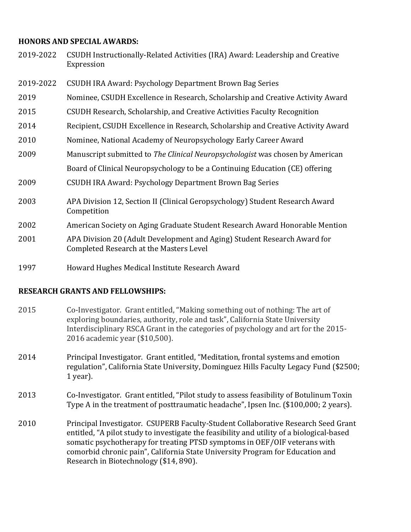#### **HONORS AND SPECIAL AWARDS:**

| 2019-2022 | CSUDH Instructionally-Related Activities (IRA) Award: Leadership and Creative<br>Expression                                |
|-----------|----------------------------------------------------------------------------------------------------------------------------|
| 2019-2022 | CSUDH IRA Award: Psychology Department Brown Bag Series                                                                    |
| 2019      | Nominee, CSUDH Excellence in Research, Scholarship and Creative Activity Award                                             |
| 2015      | CSUDH Research, Scholarship, and Creative Activities Faculty Recognition                                                   |
| 2014      | Recipient, CSUDH Excellence in Research, Scholarship and Creative Activity Award                                           |
| 2010      | Nominee, National Academy of Neuropsychology Early Career Award                                                            |
| 2009      | Manuscript submitted to The Clinical Neuropsychologist was chosen by American                                              |
|           | Board of Clinical Neuropsychology to be a Continuing Education (CE) offering                                               |
| 2009      | <b>CSUDH IRA Award: Psychology Department Brown Bag Series</b>                                                             |
| 2003      | APA Division 12, Section II (Clinical Geropsychology) Student Research Award<br>Competition                                |
| 2002      | American Society on Aging Graduate Student Research Award Honorable Mention                                                |
| 2001      | APA Division 20 (Adult Development and Aging) Student Research Award for<br><b>Completed Research at the Masters Level</b> |
| 1997      | Howard Hughes Medical Institute Research Award                                                                             |

#### **RESEARCH GRANTS AND FELLOWSHIPS:**

- 2015 Co-Investigator. Grant entitled, "Making something out of nothing: The art of exploring boundaries, authority, role and task", California State University Interdisciplinary RSCA Grant in the categories of psychology and art for the 2015-2016 academic year (\$10,500).
- 2014 Principal Investigator. Grant entitled, "Meditation, frontal systems and emotion regulation", California State University, Dominguez Hills Faculty Legacy Fund (\$2500; 1 year).
- 2013 Co-Investigator. Grant entitled, "Pilot study to assess feasibility of Botulinum Toxin Type A in the treatment of posttraumatic headache", Ipsen Inc. (\$100,000; 2 years).
- 2010 Principal Investigator. CSUPERB Faculty-Student Collaborative Research Seed Grant entitled, "A pilot study to investigate the feasibility and utility of a biological-based somatic psychotherapy for treating PTSD symptoms in OEF/OIF veterans with comorbid chronic pain", California State University Program for Education and Research in Biotechnology (\$14, 890).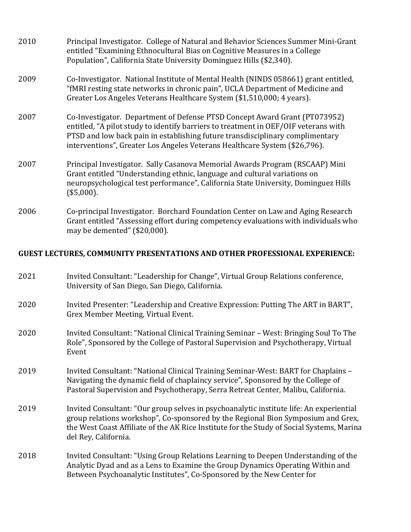| 2010 | Principal Investigator. College of Natural and Behavior Sciences Summer Mini-Grant<br>entitled "Examining Ethnocultural Bias on Cognitive Measures in a College<br>Population", California State University Dominguez Hills (\$2,340).                                                                                           |
|------|----------------------------------------------------------------------------------------------------------------------------------------------------------------------------------------------------------------------------------------------------------------------------------------------------------------------------------|
| 2009 | Co-Investigator. National Institute of Mental Health (NINDS 058661) grant entitled,<br>"fMRI resting state networks in chronic pain", UCLA Department of Medicine and<br>Greater Los Angeles Veterans Healthcare System (\$1,510,000; 4 years).                                                                                  |
| 2007 | Co-Investigator. Department of Defense PTSD Concept Award Grant (PT073952)<br>entitled, "A pilot study to identify barriers to treatment in OEF/OIF veterans with<br>PTSD and low back pain in establishing future transdisciplinary complimentary<br>interventions", Greater Los Angeles Veterans Healthcare System (\$26,796). |
| 2007 | Principal Investigator. Sally Casanova Memorial Awards Program (RSCAAP) Mini<br>Grant entitled "Understanding ethnic, language and cultural variations on<br>neuropsychological test performance", California State University, Dominguez Hills<br>$($5,000)$ .                                                                  |
| 2006 | Co-principal Investigator. Borchard Foundation Center on Law and Aging Research<br>Grant entitled "Assessing effort during competency evaluations with individuals who                                                                                                                                                           |

#### **GUEST LECTURES, COMMUNITY PRESENTATIONS AND OTHER PROFESSIONAL EXPERIENCE:**

2021 Invited Consultant: "Leadership for Change", Virtual Group Relations conference, University of San Diego, San Diego, California.

may be demented" (\$20,000).

- 2020 Invited Presenter: "Leadership and Creative Expression: Putting The ART in BART", Grex Member Meeting, Virtual Event.
- 2020 Invited Consultant: "National Clinical Training Seminar West: Bringing Soul To The Role", Sponsored by the College of Pastoral Supervision and Psychotherapy, Virtual Event
- 2019 Invited Consultant: "National Clinical Training Seminar-West: BART for Chaplains -Navigating the dynamic field of chaplaincy service", Sponsored by the College of Pastoral Supervision and Psychotherapy, Serra Retreat Center, Malibu, California.
- 2019 Invited Consultant: "Our group selves in psychoanalytic institute life: An experiential group relations workshop", Co-sponsored by the Regional Bion Symposium and Grex, the West Coast Affiliate of the AK Rice Institute for the Study of Social Systems, Marina del Rey, California.
- 2018 Invited Consultant: "Using Group Relations Learning to Deepen Understanding of the Analytic Dyad and as a Lens to Examine the Group Dynamics Operating Within and Between Psychoanalytic Institutes", Co-Sponsored by the New Center for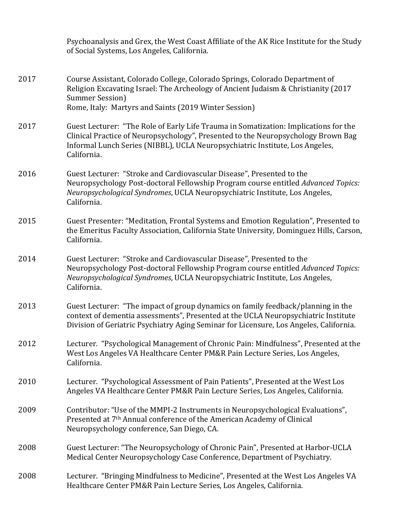Psychoanalysis and Grex, the West Coast Affiliate of the AK Rice Institute for the Study of Social Systems, Los Angeles, California.

- 2017 Course Assistant, Colorado College, Colorado Springs, Colorado Department of Religion Excavating Israel: The Archeology of Ancient Judaism & Christianity (2017 Summer Session) Rome, Italy: Martyrs and Saints (2019 Winter Session)
- 2017 Guest Lecturer: "The Role of Early Life Trauma in Somatization: Implications for the Clinical Practice of Neuropsychology", Presented to the Neuropsychology Brown Bag Informal Lunch Series (NIBBL), UCLA Neuropsychiatric Institute, Los Angeles, California.
- 2016 Guest Lecturer: "Stroke and Cardiovascular Disease", Presented to the Neuropsychology Post-doctoral Fellowship Program course entitled *Advanced Topics: Neuropsychological Syndromes*, UCLA Neuropsychiatric Institute, Los Angeles, California.
- 2015 Guest Presenter: "Meditation, Frontal Systems and Emotion Regulation", Presented to the Emeritus Faculty Association, California State University, Dominguez Hills, Carson, California.
- 2014 Guest Lecturer: "Stroke and Cardiovascular Disease", Presented to the Neuropsychology Post-doctoral Fellowship Program course entitled *Advanced Topics: Neuropsychological Syndromes*, UCLA Neuropsychiatric Institute, Los Angeles, California.
- 2013 Guest Lecturer: "The impact of group dynamics on family feedback/planning in the context of dementia assessments", Presented at the UCLA Neuropsychiatric Institute Division of Geriatric Psychiatry Aging Seminar for Licensure, Los Angeles, California.
- 2012 Lecturer. "Psychological Management of Chronic Pain: Mindfulness", Presented at the West Los Angeles VA Healthcare Center PM&R Pain Lecture Series, Los Angeles, California.
- 2010 Lecturer. "Psychological Assessment of Pain Patients", Presented at the West Los Angeles VA Healthcare Center PM&R Pain Lecture Series, Los Angeles, California.
- 2009 Contributor: "Use of the MMPI-2 Instruments in Neuropsychological Evaluations", Presented at 7<sup>th</sup> Annual conference of the American Academy of Clinical Neuropsychology conference, San Diego, CA.
- 2008 Guest Lecturer: "The Neuropsychology of Chronic Pain", Presented at Harbor-UCLA Medical Center Neuropsychology Case Conference, Department of Psychiatry.
- 2008 Lecturer. "Bringing Mindfulness to Medicine", Presented at the West Los Angeles VA Healthcare Center PM&R Pain Lecture Series, Los Angeles, California.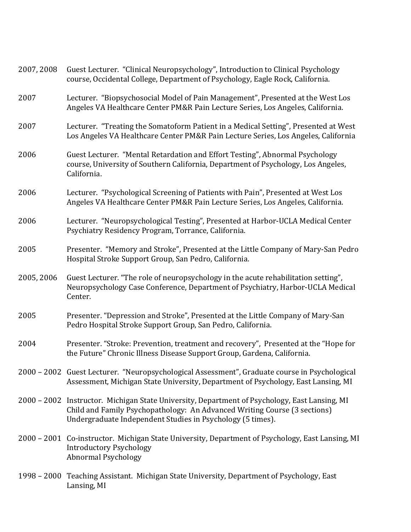| 2007, 2008 | Guest Lecturer. "Clinical Neuropsychology", Introduction to Clinical Psychology<br>course, Occidental College, Department of Psychology, Eagle Rock, California.                                                                         |
|------------|------------------------------------------------------------------------------------------------------------------------------------------------------------------------------------------------------------------------------------------|
| 2007       | Lecturer. "Biopsychosocial Model of Pain Management", Presented at the West Los<br>Angeles VA Healthcare Center PM&R Pain Lecture Series, Los Angeles, California.                                                                       |
| 2007       | Lecturer. "Treating the Somatoform Patient in a Medical Setting", Presented at West<br>Los Angeles VA Healthcare Center PM&R Pain Lecture Series, Los Angeles, California                                                                |
| 2006       | Guest Lecturer. "Mental Retardation and Effort Testing", Abnormal Psychology<br>course, University of Southern California, Department of Psychology, Los Angeles,<br>California.                                                         |
| 2006       | Lecturer. "Psychological Screening of Patients with Pain", Presented at West Los<br>Angeles VA Healthcare Center PM&R Pain Lecture Series, Los Angeles, California.                                                                      |
| 2006       | Lecturer. "Neuropsychological Testing", Presented at Harbor-UCLA Medical Center<br>Psychiatry Residency Program, Torrance, California.                                                                                                   |
| 2005       | Presenter. "Memory and Stroke", Presented at the Little Company of Mary-San Pedro<br>Hospital Stroke Support Group, San Pedro, California.                                                                                               |
| 2005, 2006 | Guest Lecturer. "The role of neuropsychology in the acute rehabilitation setting",<br>Neuropsychology Case Conference, Department of Psychiatry, Harbor-UCLA Medical<br>Center.                                                          |
| 2005       | Presenter. "Depression and Stroke", Presented at the Little Company of Mary-San<br>Pedro Hospital Stroke Support Group, San Pedro, California.                                                                                           |
| 2004       | Presenter. "Stroke: Prevention, treatment and recovery", Presented at the "Hope for<br>the Future" Chronic Illness Disease Support Group, Gardena, California.                                                                           |
|            | 2000 – 2002 Guest Lecturer. "Neuropsychological Assessment", Graduate course in Psychological<br>Assessment, Michigan State University, Department of Psychology, East Lansing, MI                                                       |
|            | 2000 - 2002 Instructor. Michigan State University, Department of Psychology, East Lansing, MI<br>Child and Family Psychopathology: An Advanced Writing Course (3 sections)<br>Undergraduate Independent Studies in Psychology (5 times). |
|            | 2000 – 2001 Co-instructor. Michigan State University, Department of Psychology, East Lansing, MI<br><b>Introductory Psychology</b><br><b>Abnormal Psychology</b>                                                                         |
|            | 1998 - 2000 Teaching Assistant. Michigan State University, Department of Psychology, East<br>Lansing, MI                                                                                                                                 |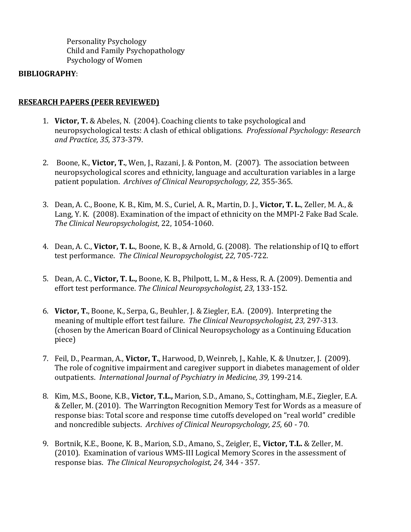Personality Psychology Child and Family Psychopathology Psychology of Women

#### **BIBLIOGRAPHY**:

## **RESEARCH PAPERS (PEER REVIEWED)**

- 1. **Victor, T.** & Abeles, N. (2004). Coaching clients to take psychological and neuropsychological tests: A clash of ethical obligations. *Professional Psychology: Research and Practice, 35,* 373-379.
- 2. Boone, K., Victor, T., Wen, J., Razani, J. & Ponton, M. (2007). The association between neuropsychological scores and ethnicity, language and acculturation variables in a large patient population. Archives of Clinical Neuropsychology, 22, 355-365.
- 3. Dean, A. C., Boone, K. B., Kim, M. S., Curiel, A. R., Martin, D. J., Victor, T. L., Zeller, M. A., & Lang, Y. K. (2008). Examination of the impact of ethnicity on the MMPI-2 Fake Bad Scale. *The Clinical Neuropsychologist*, 22, 1054-1060.
- 4. Dean, A. C., **Victor, T. L.**, Boone, K. B., & Arnold, G. (2008). The relationship of IQ to effort test performance. The Clinical Neuropsychologist, 22, 705-722.
- 5. Dean, A. C., **Victor, T. L.,** Boone, K. B., Philpott, L. M., & Hess, R. A. (2009). Dementia and effort test performance. The Clinical Neuropsychologist, 23, 133-152.
- 6. **Victor, T.**, Boone, K., Serpa, G., Beuhler, J. & Ziegler, E.A. (2009). Interpreting the meaning of multiple effort test failure. The Clinical Neuropsychologist, 23, 297-313. (chosen by the American Board of Clinical Neuropsychology as a Continuing Education piece)
- 7. Feil, D., Pearman, A., Victor, T., Harwood, D, Weinreb, J., Kahle, K. & Unutzer, J. (2009). The role of cognitive impairment and caregiver support in diabetes management of older outpatients. *International Journal of Psychiatry in Medicine, 39,* 199-214*.*
- 8. Kim, M.S., Boone, K.B., **Victor, T.L.,** Marion, S.D., Amano, S., Cottingham, M.E., Ziegler, E.A. & Zeller, M. (2010). The Warrington Recognition Memory Test for Words as a measure of response bias: Total score and response time cutoffs developed on "real world" credible and noncredible subjects. Archives of Clinical Neuropsychology, 25, 60 - 70.
- 9. Bortnik, K.E., Boone, K. B., Marion, S.D., Amano, S., Zeigler, E., Victor, T.L. & Zeller, M. (2010). Examination of various WMS-III Logical Memory Scores in the assessment of response bias. The Clinical Neuropsychologist, 24, 344 - 357.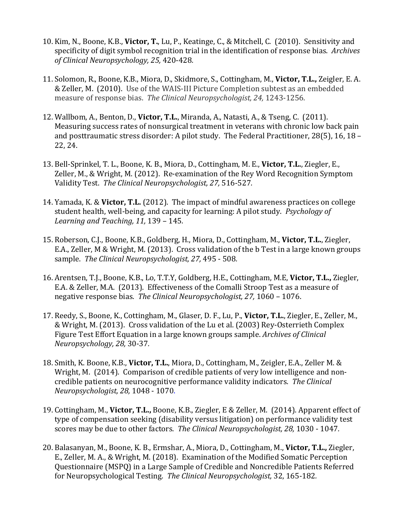- 10. Kim, N., Boone, K.B., **Victor, T.**, Lu, P., Keatinge, C., & Mitchell, C. (2010). Sensitivity and specificity of digit symbol recognition trial in the identification of response bias. Archives *of Clinical Neuropsychology, 25,* 420-428*.*
- 11. Solomon, R., Boone, K.B., Miora, D., Skidmore, S., Cottingham, M., Victor, T.L., Zeigler, E. A. & Zeller, M. (2010). Use of the WAIS-III Picture Completion subtest as an embedded measure of response bias. The Clinical Neuropsychologist, 24, 1243-1256.
- 12. Wallbom, A., Benton, D., Victor, T.L., Miranda, A., Natasti, A., & Tseng, C. (2011). Measuring success rates of nonsurgical treatment in veterans with chronic low back pain and posttraumatic stress disorder: A pilot study. The Federal Practitioner, 28(5), 16, 18 – 22, 24.
- 13. Bell-Sprinkel, T. L., Boone, K. B., Miora, D., Cottingham, M. E., Victor, T.L., Ziegler, E., Zeller, M., & Wright, M. (2012). Re-examination of the Rey Word Recognition Symptom Validity Test. *The Clinical Neuropsychologist, 27,* 516-527*.*
- 14. Yamada, K. & Victor, T.L. (2012). The impact of mindful awareness practices on college student health, well-being, and capacity for learning: A pilot study. *Psychology of Learning and Teaching, 11, 139 - 145.*
- 15. Roberson, C.J., Boone, K.B., Goldberg, H., Miora, D., Cottingham, M., Victor, T.L., Ziegler, E.A., Zeller, M & Wright, M. (2013). Cross validation of the b Test in a large known groups sample. The Clinical Neuropsychologist, 27, 495 - 508.
- 16. Arentsen, T.J., Boone, K.B., Lo, T.T.Y, Goldberg, H.E., Cottingham, M.E. Victor, T.L., Ziegler, E.A. & Zeller, M.A. (2013). Effectiveness of the Comalli Stroop Test as a measure of negative response bias. The Clinical Neuropsychologist, 27, 1060 – 1076.
- 17. Reedy, S., Boone, K., Cottingham, M., Glaser, D. F., Lu, P., Victor, T.L., Ziegler, E., Zeller, M., & Wright, M. (2013). Cross validation of the Lu et al. (2003) Rey-Osterrieth Complex Figure Test Effort Equation in a large known groups sample. *Archives of Clinical Neuropsychology, 28,* 30-37*.*
- 18. Smith, K. Boone, K.B., Victor, T.L., Miora, D., Cottingham, M., Zeigler, E.A., Zeller M. & Wright, M. (2014). Comparison of credible patients of very low intelligence and noncredible patients on neurocognitive performance validity indicators. The Clinical *Neuropsychologist, 28,* 1048 - 1070.
- 19. Cottingham, M., Victor, T.L., Boone, K.B., Ziegler, E & Zeller, M. (2014). Apparent effect of type of compensation seeking (disability versus litigation) on performance validity test scores may be due to other factors. The Clinical Neuropsychologist, 28, 1030 - 1047.
- 20. Balasanyan, M., Boone, K. B., Ermshar, A., Miora, D., Cottingham, M., Victor, T.L., Ziegler, E., Zeller, M. A., & Wright, M. (2018). Examination of the Modified Somatic Perception Questionnaire (MSPQ) in a Large Sample of Credible and Noncredible Patients Referred for Neuropsychological Testing. The Clinical Neuropsychologist, 32, 165-182.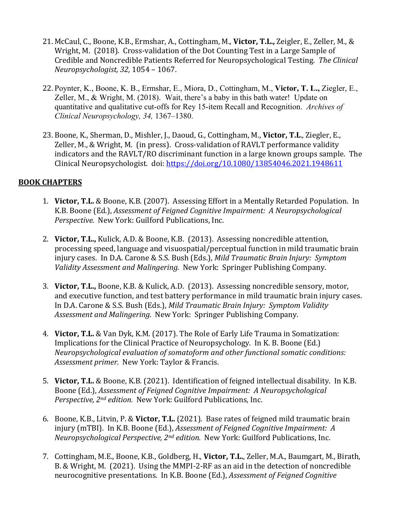- 21. McCaul, C., Boone, K.B., Ermshar, A., Cottingham, M., Victor, T.L., Zeigler, E., Zeller, M., & Wright, M. (2018). Cross-validation of the Dot Counting Test in a Large Sample of Credible and Noncredible Patients Referred for Neuropsychological Testing. The Clinical *Neuropsychologist, 32,* 1054 – 1067.
- 22. Poynter, K., Boone, K. B., Ermshar, E., Miora, D., Cottingham, M., **Victor, T. L.,** Ziegler, E., Zeller, M., & Wright, M. (2018). Wait, there's a baby in this bath water! Update on quantitative and qualitative cut-offs for Rey 15-item Recall and Recognition. *Archives of Clinical Neuropsychology, 34,* 1367–1380.
- 23. Boone, K., Sherman, D., Mishler, J., Daoud, G., Cottingham, M., Victor, T.L., Ziegler, E., Zeller, M., & Wright, M. (in press). Cross-validation of RAVLT performance validity indicators and the RAVLT/RO discriminant function in a large known groups sample. The Clinical Neuropsychologist. doi: https://doi.org/10.1080/13854046.2021.1948611

# **BOOK CHAPTERS**

- 1. Victor, T.L. & Boone, K.B. (2007). Assessing Effort in a Mentally Retarded Population. In K.B. Boone (Ed.), *Assessment of Feigned Cognitive Impairment: A Neuropsychological Perspective.* New York: Guilford Publications, Inc.
- 2. Victor, T.L., Kulick, A.D. & Boone, K.B. (2013). Assessing noncredible attention, processing speed, language and visuospatial/perceptual function in mild traumatic brain injury cases. In D.A. Carone & S.S. Bush (Eds.), *Mild Traumatic Brain Injury: Symptom Validity Assessment and Malingering.* New York: Springer Publishing Company.
- 3. Victor, T.L., Boone, K.B. & Kulick, A.D. (2013). Assessing noncredible sensory, motor, and executive function, and test battery performance in mild traumatic brain injury cases. In D.A. Carone & S.S. Bush (Eds.), *Mild Traumatic Brain Injury: Symptom Validity Assessment and Malingering.* New York: Springer Publishing Company.
- 4. Victor, T.L. & Van Dyk, K.M. (2017). The Role of Early Life Trauma in Somatization: Implications for the Clinical Practice of Neuropsychology. In K. B. Boone (Ed.) *Neuropsychological evaluation of somatoform and other functional somatic conditions:* Assessment primer. New York: Taylor & Francis.
- 5. **Victor, T.L.** & Boone, K.B. (2021). Identification of feigned intellectual disability. In K.B. Boone (Ed.), *Assessment of Feigned Cognitive Impairment: A Neuropsychological Perspective, 2<sup>nd</sup> edition.* New York: Guilford Publications, Inc.
- 6. Boone, K.B., Litvin, P. & Victor, T.L. (2021). Base rates of feigned mild traumatic brain injury (mTBI). In K.B. Boone (Ed.), *Assessment of Feigned Cognitive Impairment: A Neuropsychological Perspective, 2<sup>nd</sup> edition.* New York: Guilford Publications, Inc.
- 7. Cottingham, M.E., Boone, K.B., Goldberg, H., Victor, T.L., Zeller, M.A., Baumgart, M., Birath, B. & Wright, M. (2021). Using the MMPI-2-RF as an aid in the detection of noncredible neurocognitive presentations. In K.B. Boone (Ed.), *Assessment of Feigned Cognitive*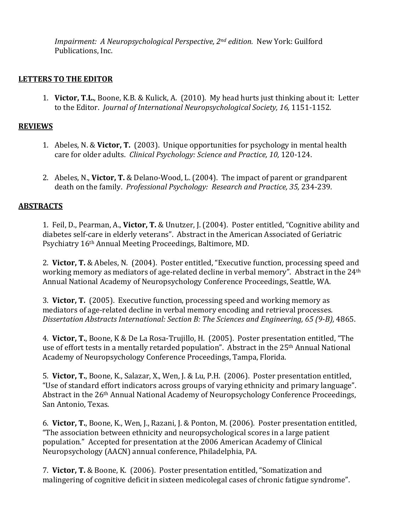*Impairment: A Neuropsychological Perspective, 2<sup>nd</sup> edition.* New York: Guilford Publications, Inc.

## **LETTERS TO THE EDITOR**

1. Victor, T.L., Boone, K.B. & Kulick, A. (2010). My head hurts just thinking about it: Letter to the Editor. *Journal of International Neuropsychological Society, 16, 1151-1152.* 

#### **REVIEWS**

- 1. Abeles, N. & **Victor, T.** (2003). Unique opportunities for psychology in mental health care for older adults. *Clinical Psychology: Science and Practice, 10, 120-124.*
- 2. Abeles, N., **Victor, T.** & Delano-Wood, L. (2004). The impact of parent or grandparent death on the family. *Professional Psychology: Research and Practice, 35, 234-239.*

#### **ABSTRACTS**

1. Feil, D., Pearman, A., **Victor, T.** & Unutzer, J. (2004). Poster entitled, "Cognitive ability and diabetes self-care in elderly veterans". Abstract in the American Associated of Geriatric Psychiatry 16<sup>th</sup> Annual Meeting Proceedings, Baltimore, MD.

2. Victor, T. & Abeles, N. (2004). Poster entitled, "Executive function, processing speed and working memory as mediators of age-related decline in verbal memory". Abstract in the 24<sup>th</sup> Annual National Academy of Neuropsychology Conference Proceedings, Seattle, WA.

3. **Victor, T.** (2005). Executive function, processing speed and working memory as mediators of age-related decline in verbal memory encoding and retrieval processes. *Dissertation Abstracts International: Section B: The Sciences and Engineering, 65 (9-B),* 4865.

4. Victor, T., Boone, K & De La Rosa-Trujillo, H. (2005). Poster presentation entitled, "The use of effort tests in a mentally retarded population". Abstract in the  $25<sup>th</sup>$  Annual National Academy of Neuropsychology Conference Proceedings, Tampa, Florida.

5. Victor, T., Boone, K., Salazar, X., Wen, J. & Lu, P.H. (2006). Poster presentation entitled, "Use of standard effort indicators across groups of varying ethnicity and primary language". Abstract in the 26<sup>th</sup> Annual National Academy of Neuropsychology Conference Proceedings, San Antonio, Texas.

6. Victor, T., Boone, K., Wen, J., Razani, J. & Ponton, M. (2006). Poster presentation entitled, "The association between ethnicity and neuropsychological scores in a large patient population." Accepted for presentation at the 2006 American Academy of Clinical Neuropsychology (AACN) annual conference, Philadelphia, PA.

7. Victor, T. & Boone, K. (2006). Poster presentation entitled, "Somatization and malingering of cognitive deficit in sixteen medicolegal cases of chronic fatigue syndrome".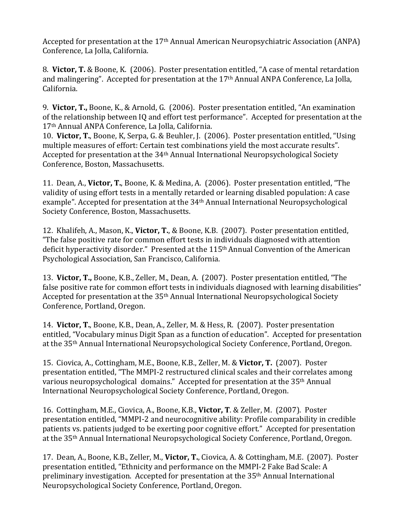Accepted for presentation at the 17<sup>th</sup> Annual American Neuropsychiatric Association (ANPA) Conference, La Jolla, California.

8. Victor, T. & Boone, K. (2006). Poster presentation entitled, "A case of mental retardation and malingering". Accepted for presentation at the  $17<sup>th</sup>$  Annual ANPA Conference, La Jolla, California.

9. Victor, T., Boone, K., & Arnold, G. (2006). Poster presentation entitled, "An examination of the relationship between IQ and effort test performance". Accepted for presentation at the 17<sup>th</sup> Annual ANPA Conference, La Jolla, California.

10. Victor, T., Boone, K. Serpa, G. & Beuhler, J. (2006). Poster presentation entitled, "Using multiple measures of effort: Certain test combinations yield the most accurate results". Accepted for presentation at the  $34<sup>th</sup>$  Annual International Neuropsychological Society Conference, Boston, Massachusetts.

11. Dean, A., Victor, T., Boone, K. & Medina, A. (2006). Poster presentation entitled, "The validity of using effort tests in a mentally retarded or learning disabled population: A case example". Accepted for presentation at the 34<sup>th</sup> Annual International Neuropsychological Society Conference, Boston, Massachusetts.

12. Khalifeh, A., Mason, K., Victor, T., & Boone, K.B. (2007). Poster presentation entitled, "The false positive rate for common effort tests in individuals diagnosed with attention deficit hyperactivity disorder." Presented at the 115<sup>th</sup> Annual Convention of the American Psychological Association, San Francisco, California.

13. Victor, T., Boone, K.B., Zeller, M., Dean, A. (2007). Poster presentation entitled, "The false positive rate for common effort tests in individuals diagnosed with learning disabilities" Accepted for presentation at the  $35<sup>th</sup>$  Annual International Neuropsychological Society Conference, Portland, Oregon.

14. Victor, T., Boone, K.B., Dean, A., Zeller, M. & Hess, R. (2007). Poster presentation entitled, "Vocabulary minus Digit Span as a function of education". Accepted for presentation at the 35<sup>th</sup> Annual International Neuropsychological Society Conference, Portland, Oregon.

15. Ciovica, A., Cottingham, M.E., Boone, K.B., Zeller, M. & Victor, T. (2007). Poster presentation entitled, "The MMPI-2 restructured clinical scales and their correlates among various neuropsychological domains." Accepted for presentation at the  $35<sup>th</sup>$  Annual International Neuropsychological Society Conference, Portland, Oregon.

16. Cottingham, M.E., Ciovica, A., Boone, K.B., Victor, T. & Zeller, M. (2007). Poster presentation entitled, "MMPI-2 and neurocognitive ability: Profile comparability in credible patients vs. patients judged to be exerting poor cognitive effort." Accepted for presentation at the 35<sup>th</sup> Annual International Neuropsychological Society Conference, Portland, Oregon.

17. Dean, A., Boone, K.B., Zeller, M., **Victor, T.**, Ciovica, A. & Cottingham, M.E. (2007). Poster presentation entitled, "Ethnicity and performance on the MMPI-2 Fake Bad Scale: A preliminary investigation. Accepted for presentation at the  $35<sup>th</sup>$  Annual International Neuropsychological Society Conference, Portland, Oregon.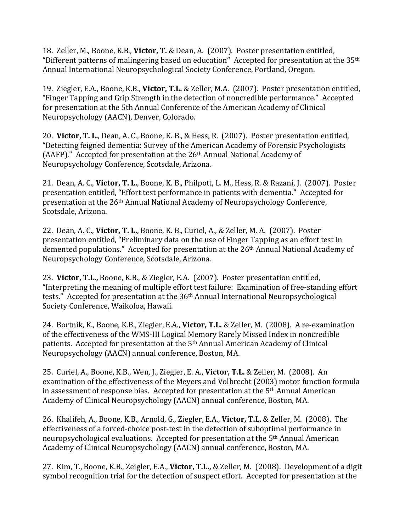18. Zeller, M., Boone, K.B., Victor, T. & Dean, A. (2007). Poster presentation entitled, "Different patterns of malingering based on education" Accepted for presentation at the  $35<sup>th</sup>$ Annual International Neuropsychological Society Conference, Portland, Oregon.

19. Ziegler, E.A., Boone, K.B., Victor, T.L. & Zeller, M.A. (2007). Poster presentation entitled, "Finger Tapping and Grip Strength in the detection of noncredible performance." Accepted for presentation at the 5th Annual Conference of the American Academy of Clinical Neuropsychology (AACN), Denver, Colorado.

20. Victor, T. L., Dean, A. C., Boone, K. B., & Hess, R. (2007). Poster presentation entitled, "Detecting feigned dementia: Survey of the American Academy of Forensic Psychologists (AAFP)." Accepted for presentation at the  $26<sup>th</sup>$  Annual National Academy of Neuropsychology Conference, Scotsdale, Arizona.

21. Dean, A. C., Victor, T. L., Boone, K. B., Philpott, L. M., Hess, R. & Razani, J. (2007). Poster presentation entitled, "Effort test performance in patients with dementia." Accepted for presentation at the 26<sup>th</sup> Annual National Academy of Neuropsychology Conference, Scotsdale, Arizona.

22. Dean, A. C., Victor, T. L., Boone, K. B., Curiel, A., & Zeller, M. A. (2007). Poster presentation entitled, "Preliminary data on the use of Finger Tapping as an effort test in demented populations." Accepted for presentation at the 26<sup>th</sup> Annual National Academy of Neuropsychology Conference, Scotsdale, Arizona.

23. Victor, T.L., Boone, K.B., & Ziegler, E.A. (2007). Poster presentation entitled, "Interpreting the meaning of multiple effort test failure: Examination of free-standing effort tests." Accepted for presentation at the  $36<sup>th</sup>$  Annual International Neuropsychological Society Conference, Waikoloa, Hawaii.

24. Bortnik, K., Boone, K.B., Ziegler, E.A., Victor, T.L. & Zeller, M. (2008). A re-examination of the effectiveness of the WMS-III Logical Memory Rarely Missed Index in noncredible patients. Accepted for presentation at the 5<sup>th</sup> Annual American Academy of Clinical Neuropsychology (AACN) annual conference, Boston, MA.

25. Curiel, A., Boone, K.B., Wen, J., Ziegler, E. A., Victor, T.L. & Zeller, M. (2008). An examination of the effectiveness of the Meyers and Volbrecht (2003) motor function formula in assessment of response bias. Accepted for presentation at the  $5<sup>th</sup>$  Annual American Academy of Clinical Neuropsychology (AACN) annual conference, Boston, MA.

26. Khalifeh, A., Boone, K.B., Arnold, G., Ziegler, E.A., Victor, T.L. & Zeller, M. (2008). The effectiveness of a forced-choice post-test in the detection of suboptimal performance in neuropsychological evaluations. Accepted for presentation at the 5<sup>th</sup> Annual American Academy of Clinical Neuropsychology (AACN) annual conference, Boston, MA.

27. Kim, T., Boone, K.B., Zeigler, E.A., **Victor, T.L.,** & Zeller, M. (2008). Development of a digit symbol recognition trial for the detection of suspect effort. Accepted for presentation at the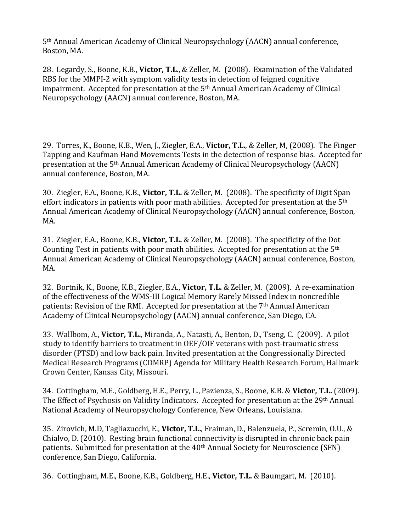5<sup>th</sup> Annual American Academy of Clinical Neuropsychology (AACN) annual conference, Boston, MA.

28. Legardy, S., Boone, K.B., Victor, T.L., & Zeller, M. (2008). Examination of the Validated RBS for the MMPI-2 with symptom validity tests in detection of feigned cognitive impairment. Accepted for presentation at the  $5<sup>th</sup>$  Annual American Academy of Clinical Neuropsychology (AACN) annual conference, Boston, MA.

29. Torres, K., Boone, K.B., Wen, J., Ziegler, E.A., Victor, T.L., & Zeller, M. (2008). The Finger Tapping and Kaufman Hand Movements Tests in the detection of response bias. Accepted for presentation at the 5<sup>th</sup> Annual American Academy of Clinical Neuropsychology (AACN) annual conference, Boston, MA.

30. Ziegler, E.A., Boone, K.B., **Victor, T.L.** & Zeller, M. (2008). The specificity of Digit Span effort indicators in patients with poor math abilities. Accepted for presentation at the  $5<sup>th</sup>$ Annual American Academy of Clinical Neuropsychology (AACN) annual conference, Boston, MA.

31. Ziegler, E.A., Boone, K.B., Victor, T.L. & Zeller, M. (2008). The specificity of the Dot Counting Test in patients with poor math abilities. Accepted for presentation at the  $5<sup>th</sup>$ Annual American Academy of Clinical Neuropsychology (AACN) annual conference, Boston, MA.

32. Bortnik, K., Boone, K.B., Ziegler, E.A., Victor, T.L. & Zeller, M. (2009). A re-examination of the effectiveness of the WMS-III Logical Memory Rarely Missed Index in noncredible patients: Revision of the RMI. Accepted for presentation at the 7<sup>th</sup> Annual American Academy of Clinical Neuropsychology (AACN) annual conference, San Diego, CA.

33. Wallbom, A., Victor, T.L., Miranda, A., Natasti, A., Benton, D., Tseng, C. (2009). A pilot study to identify barriers to treatment in OEF/OIF veterans with post-traumatic stress disorder (PTSD) and low back pain. Invited presentation at the Congressionally Directed Medical Research Programs (CDMRP) Agenda for Military Health Research Forum, Hallmark Crown Center, Kansas City, Missouri.

34. Cottingham, M.E., Goldberg, H.E., Perry, L., Pazienza, S., Boone, K.B. & Victor, T.L. (2009). The Effect of Psychosis on Validity Indicators. Accepted for presentation at the 29th Annual National Academy of Neuropsychology Conference, New Orleans, Louisiana.

35. Zirovich, M.D, Tagliazucchi, E., Victor, T.L., Fraiman, D., Balenzuela, P., Scremin, O.U., & Chialvo, D. (2010). Resting brain functional connectivity is disrupted in chronic back pain patients. Submitted for presentation at the 40<sup>th</sup> Annual Society for Neuroscience (SFN) conference, San Diego, California.

36. Cottingham, M.E., Boone, K.B., Goldberg, H.E., Victor, T.L. & Baumgart, M. (2010).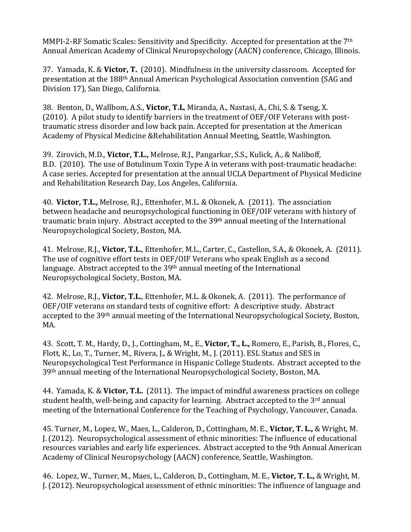MMPI-2-RF Somatic Scales: Sensitivity and Specificity. Accepted for presentation at the 7<sup>th</sup> Annual American Academy of Clinical Neuropsychology (AACN) conference, Chicago, Illinois.

37. Yamada, K. & **Victor, T.** (2010). Mindfulness in the university classroom. Accepted for presentation at the 188<sup>th</sup> Annual American Psychological Association convention (SAG and Division 17), San Diego, California.

38. Benton, D., Wallbom, A.S., Victor, T.L, Miranda, A., Nastasi, A., Chi, S. & Tseng, X. (2010). A pilot study to identify barriers in the treatment of OEF/OIF Veterans with posttraumatic stress disorder and low back pain. Accepted for presentation at the American Academy of Physical Medicine & Rehabilitation Annual Meeting, Seattle, Washington.

39. Zirovich, M.D., Victor, T.L., Melrose, R.J., Pangarkar, S.S., Kulick, A., & Naliboff, B.D. (2010). The use of Botulinum Toxin Type A in veterans with post-traumatic headache: A case series. Accepted for presentation at the annual UCLA Department of Physical Medicine and Rehabilitation Research Day, Los Angeles, California.

40. Victor, T.L., Melrose, R.J., Ettenhofer, M.L. & Okonek, A. (2011). The association between headache and neuropsychological functioning in OEF/OIF veterans with history of traumatic brain injury. Abstract accepted to the  $39<sup>th</sup>$  annual meeting of the International Neuropsychological Society, Boston, MA.

41. Melrose, R.J., Victor, T.L., Ettenhofer, M.L., Carter, C., Castellon, S.A., & Okonek, A. (2011). The use of cognitive effort tests in OEF/OIF Veterans who speak English as a second language. Abstract accepted to the  $39<sup>th</sup>$  annual meeting of the International Neuropsychological Society, Boston, MA.

42. Melrose, R.J., Victor, T.L., Ettenhofer, M.L. & Okonek, A. (2011). The performance of OEF/OIF veterans on standard tests of cognitive effort: A descriptive study. Abstract accepted to the 39<sup>th</sup> annual meeting of the International Neuropsychological Society, Boston, MA.

43. Scott, T. M., Hardy, D., J., Cottingham, M., E., Victor, T., L., Romero, E., Parish, B., Flores, C., Flott, K., Lo, T., Turner, M., Rivera, J., & Wright, M., J. (2011). ESL Status and SES in Neuropsychological Test Performance in Hispanic College Students. Abstract accepted to the 39<sup>th</sup> annual meeting of the International Neuropsychological Society, Boston, MA.

44. Yamada, K. & Victor, T.L. (2011). The impact of mindful awareness practices on college student health, well-being, and capacity for learning. Abstract accepted to the 3<sup>rd</sup> annual meeting of the International Conference for the Teaching of Psychology, Vancouver, Canada.

45. Turner, M., Lopez, W., Maes, L., Calderon, D., Cottingham, M. E., Victor, T. L., & Wright, M. J. (2012). Neuropsychological assessment of ethnic minorities: The influence of educational resources variables and early life experiences. Abstract accepted to the 9th Annual American Academy of Clinical Neuropsychology (AACN) conference, Seattle, Washington.

46. Lopez, W., Turner, M., Maes, L., Calderon, D., Cottingham, M. E., Victor, T. L., & Wright, M. J. (2012). Neuropsychological assessment of ethnic minorities: The influence of language and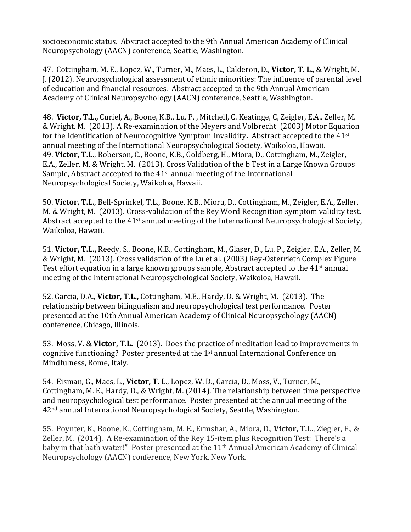socioeconomic status. Abstract accepted to the 9th Annual American Academy of Clinical Neuropsychology (AACN) conference, Seattle, Washington.

47. Cottingham, M. E., Lopez, W., Turner, M., Maes, L., Calderon, D., Victor, T. L., & Wright, M. I. (2012). Neuropsychological assessment of ethnic minorities: The influence of parental level of education and financial resources. Abstract accepted to the 9th Annual American Academy of Clinical Neuropsychology (AACN) conference, Seattle, Washington.

48. Victor, T.L., Curiel, A., Boone, K.B., Lu, P., Mitchell, C. Keatinge, C, Zeigler, E.A., Zeller, M. & Wright, M. (2013). A Re-examination of the Meyers and Volbrecht (2003) Motor Equation for the Identification of Neurocognitive Symptom Invalidity. Abstract accepted to the 41<sup>st</sup> annual meeting of the International Neuropsychological Society, Waikoloa, Hawaii. 49. Victor, T.L., Roberson, C., Boone, K.B., Goldberg, H., Miora, D., Cottingham, M., Zeigler, E.A., Zeller, M. & Wright, M. (2013). Cross Validation of the b Test in a Large Known Groups Sample, Abstract accepted to the  $41<sup>st</sup>$  annual meeting of the International Neuropsychological Society, Waikoloa, Hawaii.

50. Victor, T.L., Bell-Sprinkel, T.L., Boone, K.B., Miora, D., Cottingham, M., Zeigler, E.A., Zeller, M. & Wright, M. (2013). Cross-validation of the Rey Word Recognition symptom validity test. Abstract accepted to the  $41<sup>st</sup>$  annual meeting of the International Neuropsychological Society, Waikoloa, Hawaii.

51. Victor, T.L., Reedy, S., Boone, K.B., Cottingham, M., Glaser, D., Lu, P., Zeigler, E.A., Zeller, M. & Wright, M. (2013). Cross validation of the Lu et al. (2003) Rey-Osterrieth Complex Figure Test effort equation in a large known groups sample, Abstract accepted to the  $41<sup>st</sup>$  annual meeting of the International Neuropsychological Society, Waikoloa, Hawaii.

52. Garcia, D.A., Victor, T.L., Cottingham, M.E., Hardy, D. & Wright, M. (2013). The relationship between bilingualism and neuropsychological test performance. Poster presented at the 10th Annual American Academy of Clinical Neuropsychology (AACN) conference, Chicago, Illinois.

53. Moss, V. & Victor, T.L. (2013). Does the practice of meditation lead to improvements in cognitive functioning? Poster presented at the  $1<sup>st</sup>$  annual International Conference on Mindfulness, Rome, Italy.

54. Eisman, G., Maes, L., Victor, T. L., Lopez, W. D., Garcia, D., Moss, V., Turner, M., Cottingham, M. E., Hardy, D., & Wright, M. (2014). The relationship between time perspective and neuropsychological test performance. Poster presented at the annual meeting of the 42<sup>nd</sup> annual International Neuropsychological Society, Seattle, Washington.

55. Poynter, K., Boone, K., Cottingham, M. E., Ermshar, A., Miora, D., Victor, T.L., Ziegler, E., & Zeller, M. (2014). A Re-examination of the Rey 15-item plus Recognition Test: There's a baby in that bath water!" Poster presented at the 11<sup>th</sup> Annual American Academy of Clinical Neuropsychology (AACN) conference, New York, New York.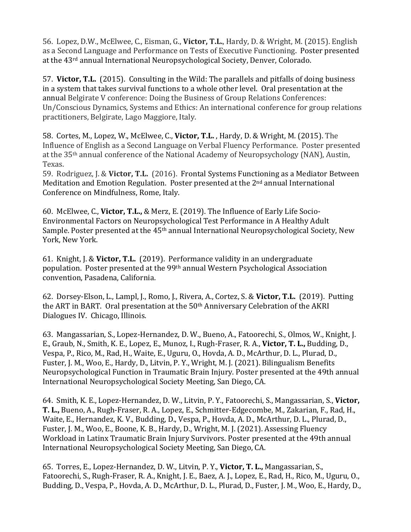56. Lopez, D.W., McElwee, C., Eisman, G., Victor, T.L., Hardy, D. & Wright, M. (2015). English as a Second Language and Performance on Tests of Executive Functioning. Poster presented at the 43<sup>rd</sup> annual International Neuropsychological Society, Denver, Colorado.

57. **Victor, T.L.** (2015). Consulting in the Wild: The parallels and pitfalls of doing business in a system that takes survival functions to a whole other level. Oral presentation at the annual Belgirate V conference: Doing the Business of Group Relations Conferences: Un/Conscious Dynamics, Systems and Ethics: An international conference for group relations practitioners, Belgirate, Lago Maggiore, Italy.

58. Cortes, M., Lopez, W., McElwee, C., Victor, T.L., Hardy, D. & Wright, M. (2015). The Influence of English as a Second Language on Verbal Fluency Performance. Poster presented at the 35<sup>th</sup> annual conference of the National Academy of Neuropsychology (NAN), Austin, Texas. 

59. Rodriguez, J. & Victor, T.L. (2016). Frontal Systems Functioning as a Mediator Between Meditation and Emotion Regulation. Poster presented at the  $2<sup>nd</sup>$  annual International Conference on Mindfulness, Rome, Italy.

60. McElwee, C., Victor, T.L., & Merz, E. (2019). The Influence of Early Life Socio-Environmental Factors on Neuropsychological Test Performance in A Healthy Adult Sample. Poster presented at the 45<sup>th</sup> annual International Neuropsychological Society, New York, New York.

61. Knight, J. & Victor, T.L. (2019). Performance validity in an undergraduate population. Poster presented at the 99<sup>th</sup> annual Western Psychological Association convention, Pasadena, California.

62. Dorsey-Elson, L., Lampl, J., Romo, J., Rivera, A., Cortez, S. & Victor, T.L. (2019). Putting the ART in BART. Oral presentation at the 50<sup>th</sup> Anniversary Celebration of the AKRI Dialogues IV. Chicago, Illinois.

63. Mangassarian, S., Lopez-Hernandez, D. W., Bueno, A., Fatoorechi, S., Olmos, W., Knight, J. E., Graub, N., Smith, K. E., Lopez, E., Munoz, I., Rugh-Fraser, R. A., Victor, T. L., Budding, D., Vespa, P., Rico, M., Rad, H., Waite, E., Uguru, O., Hovda, A. D., McArthur, D. L., Plurad, D., Fuster, J. M., Woo, E., Hardy, D., Litvin, P. Y., Wright, M. J. (2021). Bilingualism Benefits Neuropsychological Function in Traumatic Brain Injury. Poster presented at the 49th annual International Neuropsychological Society Meeting, San Diego, CA.

64. Smith, K. E., Lopez-Hernandez, D. W., Litvin, P. Y., Fatoorechi, S., Mangassarian, S., Victor, T. L., Bueno, A., Rugh-Fraser, R. A., Lopez, E., Schmitter-Edgecombe, M., Zakarian, F., Rad, H., Waite, E., Hernandez, K. V., Budding, D., Vespa, P., Hovda, A. D., McArthur, D. L., Plurad, D., Fuster, J. M., Woo, E., Boone, K. B., Hardy, D., Wright, M. J. (2021). Assessing Fluency Workload in Latinx Traumatic Brain Injury Survivors. Poster presented at the 49th annual International Neuropsychological Society Meeting, San Diego, CA.

65. Torres, E., Lopez-Hernandez, D. W., Litvin, P. Y., Victor, T. L., Mangassarian, S., Fatoorechi, S., Rugh-Fraser, R. A., Knight, J. E., Baez, A. J., Lopez, E., Rad, H., Rico, M., Uguru, O., Budding, D., Vespa, P., Hovda, A. D., McArthur, D. L., Plurad, D., Fuster, J. M., Woo, E., Hardy, D.,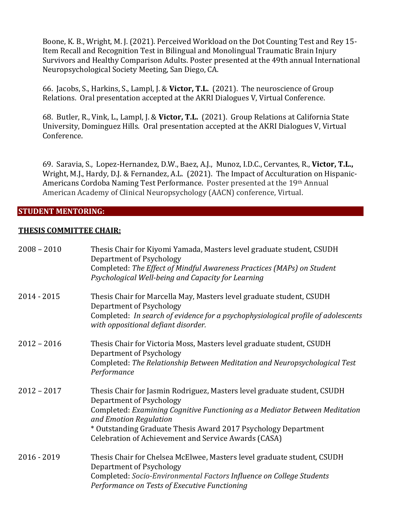Boone, K. B., Wright, M. J. (2021). Perceived Workload on the Dot Counting Test and Rey 15-Item Recall and Recognition Test in Bilingual and Monolingual Traumatic Brain Injury Survivors and Healthy Comparison Adults. Poster presented at the 49th annual International Neuropsychological Society Meeting, San Diego, CA.

66. Jacobs, S., Harkins, S., Lampl, J. & Victor, T.L. (2021). The neuroscience of Group Relations. Oral presentation accepted at the AKRI Dialogues V, Virtual Conference.

68. Butler, R., Vink, L., Lampl, J. & Victor, T.L. (2021). Group Relations at California State University, Dominguez Hills. Oral presentation accepted at the AKRI Dialogues V, Virtual Conference.

69. Saravia, S., Lopez-Hernandez, D.W., Baez, A.J., Munoz, I.D.C., Cervantes, R., Victor, T.L., Wright, M.J., Hardy, D.J. & Fernandez, A.L. (2021). The Impact of Acculturation on Hispanic-Americans Cordoba Naming Test Performance. Poster presented at the 19th Annual American Academy of Clinical Neuropsychology (AACN) conference, Virtual.

#### **STUDENT MENTORING:**

#### **THESIS COMMITTEE CHAIR:**

| $2008 - 2010$ | Thesis Chair for Kiyomi Yamada, Masters level graduate student, CSUDH<br>Department of Psychology<br>Completed: The Effect of Mindful Awareness Practices (MAPs) on Student<br>Psychological Well-being and Capacity for Learning                                                                                                       |
|---------------|-----------------------------------------------------------------------------------------------------------------------------------------------------------------------------------------------------------------------------------------------------------------------------------------------------------------------------------------|
| $2014 - 2015$ | Thesis Chair for Marcella May, Masters level graduate student, CSUDH<br>Department of Psychology<br>Completed: In search of evidence for a psychophysiological profile of adolescents<br>with oppositional defiant disorder.                                                                                                            |
| $2012 - 2016$ | Thesis Chair for Victoria Moss, Masters level graduate student, CSUDH<br>Department of Psychology<br>Completed: The Relationship Between Meditation and Neuropsychological Test<br>Performance                                                                                                                                          |
| $2012 - 2017$ | Thesis Chair for Jasmin Rodriguez, Masters level graduate student, CSUDH<br>Department of Psychology<br>Completed: Examining Cognitive Functioning as a Mediator Between Meditation<br>and Emotion Regulation<br>* Outstanding Graduate Thesis Award 2017 Psychology Department<br>Celebration of Achievement and Service Awards (CASA) |
| $2016 - 2019$ | Thesis Chair for Chelsea McElwee, Masters level graduate student, CSUDH<br>Department of Psychology<br>Completed: Socio-Environmental Factors Influence on College Students<br>Performance on Tests of Executive Functioning                                                                                                            |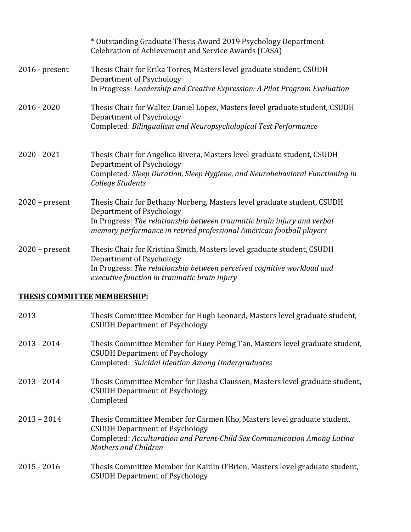|                  | * Outstanding Graduate Thesis Award 2019 Psychology Department<br>Celebration of Achievement and Service Awards (CASA)                                                                                                                                 |
|------------------|--------------------------------------------------------------------------------------------------------------------------------------------------------------------------------------------------------------------------------------------------------|
| $2016$ - present | Thesis Chair for Erika Torres, Masters level graduate student, CSUDH<br>Department of Psychology<br>In Progress: Leadership and Creative Expression: A Pilot Program Evaluation                                                                        |
| $2016 - 2020$    | Thesis Chair for Walter Daniel Lopez, Masters level graduate student, CSUDH<br>Department of Psychology<br>Completed: Bilingualism and Neuropsychological Test Performance                                                                             |
| $2020 - 2021$    | Thesis Chair for Angelica Rivera, Masters level graduate student, CSUDH<br>Department of Psychology<br>Completed: Sleep Duration, Sleep Hygiene, and Neurobehavioral Functioning in<br>College Students                                                |
| $2020$ – present | Thesis Chair for Bethany Norberg, Masters level graduate student, CSUDH<br>Department of Psychology<br>In Progress: The relationship between traumatic brain injury and verbal<br>memory performance in retired professional American football players |
| $2020$ – present | Thesis Chair for Kristina Smith, Masters level graduate student, CSUDH<br>Department of Psychology<br>In Progress: The relationship between perceived cognitive workload and<br>executive function in traumatic brain injury                           |

# **THESIS COMMITTEE MEMBERSHIP:**

| 2013          | Thesis Committee Member for Hugh Leonard, Masters level graduate student,<br><b>CSUDH Department of Psychology</b>                                                                                                          |
|---------------|-----------------------------------------------------------------------------------------------------------------------------------------------------------------------------------------------------------------------------|
| $2013 - 2014$ | Thesis Committee Member for Huey Peing Tan, Masters level graduate student,<br><b>CSUDH Department of Psychology</b><br>Completed: Suicidal Ideation Among Undergraduates                                                   |
| $2013 - 2014$ | Thesis Committee Member for Dasha Claussen, Masters level graduate student,<br><b>CSUDH Department of Psychology</b><br>Completed                                                                                           |
| $2013 - 2014$ | Thesis Committee Member for Carmen Kho, Masters level graduate student,<br><b>CSUDH Department of Psychology</b><br>Completed: Acculturation and Parent-Child Sex Communication Among Latina<br><b>Mothers and Children</b> |
| $2015 - 2016$ | Thesis Committee Member for Kaitlin O'Brien, Masters level graduate student,<br><b>CSUDH Department of Psychology</b>                                                                                                       |